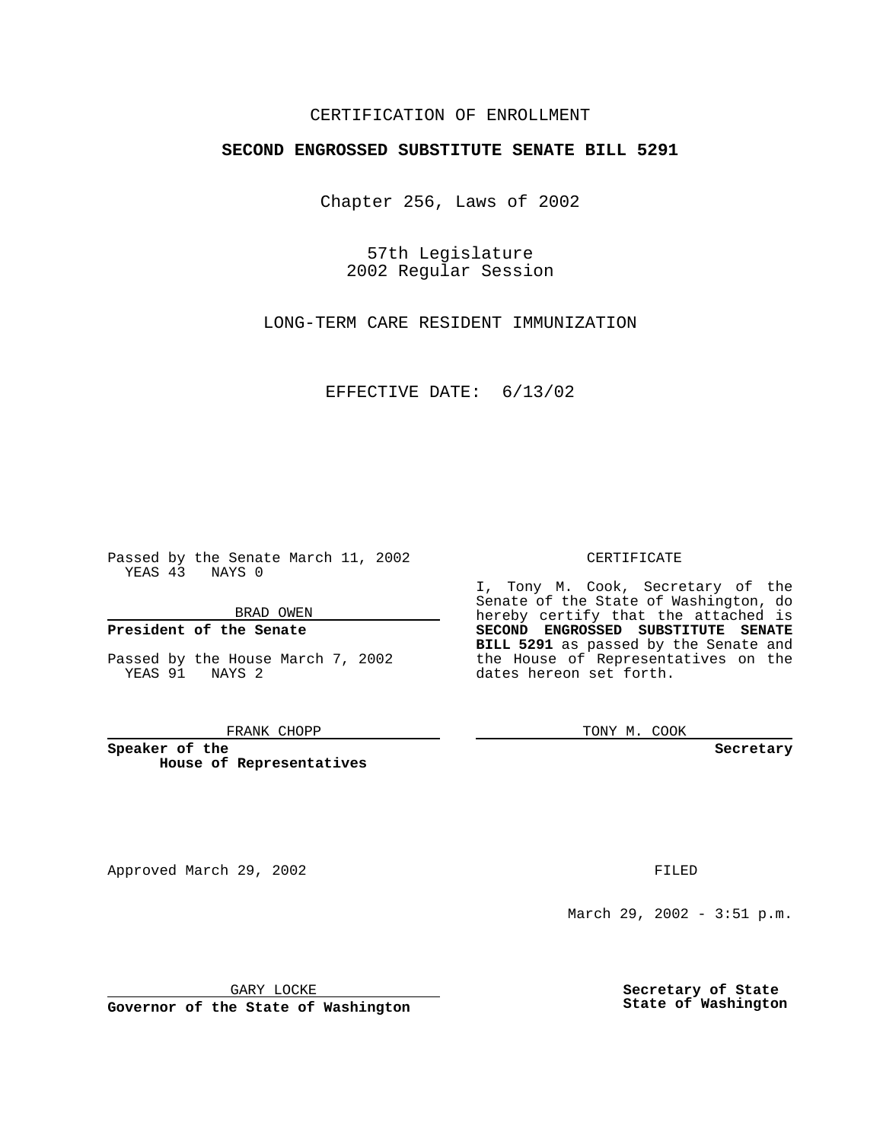### CERTIFICATION OF ENROLLMENT

# **SECOND ENGROSSED SUBSTITUTE SENATE BILL 5291**

Chapter 256, Laws of 2002

57th Legislature 2002 Regular Session

LONG-TERM CARE RESIDENT IMMUNIZATION

EFFECTIVE DATE: 6/13/02

Passed by the Senate March 11, 2002 YEAS 43 NAYS 0

BRAD OWEN

### **President of the Senate**

Passed by the House March 7, 2002 YEAS 91 NAYS 2

#### FRANK CHOPP

**Speaker of the House of Representatives** CERTIFICATE

I, Tony M. Cook, Secretary of the Senate of the State of Washington, do hereby certify that the attached is **SECOND ENGROSSED SUBSTITUTE SENATE BILL 5291** as passed by the Senate and the House of Representatives on the dates hereon set forth.

TONY M. COOK

**Secretary**

Approved March 29, 2002 **FILED** 

March 29, 2002 - 3:51 p.m.

GARY LOCKE

**Governor of the State of Washington**

**Secretary of State State of Washington**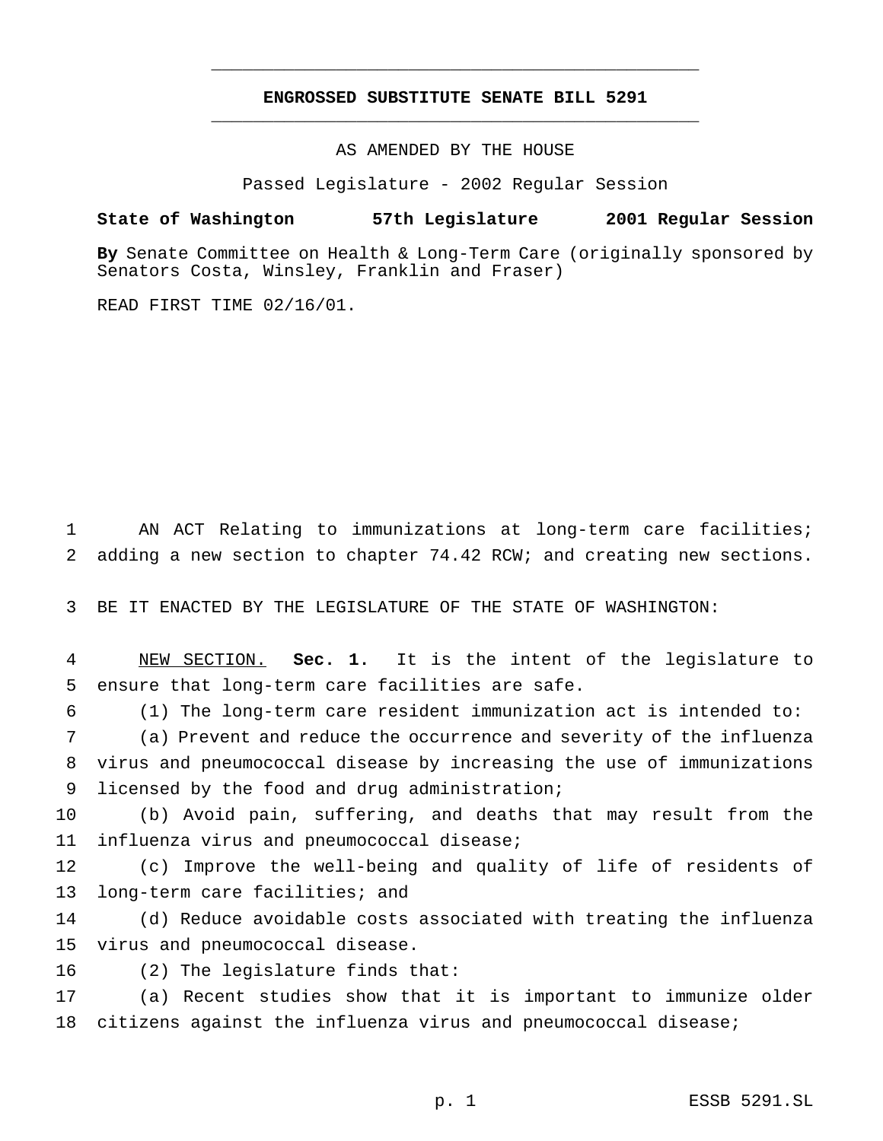## **ENGROSSED SUBSTITUTE SENATE BILL 5291** \_\_\_\_\_\_\_\_\_\_\_\_\_\_\_\_\_\_\_\_\_\_\_\_\_\_\_\_\_\_\_\_\_\_\_\_\_\_\_\_\_\_\_\_\_\_\_

\_\_\_\_\_\_\_\_\_\_\_\_\_\_\_\_\_\_\_\_\_\_\_\_\_\_\_\_\_\_\_\_\_\_\_\_\_\_\_\_\_\_\_\_\_\_\_

AS AMENDED BY THE HOUSE

Passed Legislature - 2002 Regular Session

### **State of Washington 57th Legislature 2001 Regular Session**

**By** Senate Committee on Health & Long-Term Care (originally sponsored by Senators Costa, Winsley, Franklin and Fraser)

READ FIRST TIME 02/16/01.

1 AN ACT Relating to immunizations at long-term care facilities; 2 adding a new section to chapter 74.42 RCW; and creating new sections.

3 BE IT ENACTED BY THE LEGISLATURE OF THE STATE OF WASHINGTON:

4 NEW SECTION. **Sec. 1.** It is the intent of the legislature to 5 ensure that long-term care facilities are safe.

6 (1) The long-term care resident immunization act is intended to:

7 (a) Prevent and reduce the occurrence and severity of the influenza 8 virus and pneumococcal disease by increasing the use of immunizations 9 licensed by the food and drug administration;

10 (b) Avoid pain, suffering, and deaths that may result from the 11 influenza virus and pneumococcal disease;

12 (c) Improve the well-being and quality of life of residents of 13 long-term care facilities; and

14 (d) Reduce avoidable costs associated with treating the influenza 15 virus and pneumococcal disease.

16 (2) The legislature finds that:

17 (a) Recent studies show that it is important to immunize older 18 citizens against the influenza virus and pneumococcal disease;